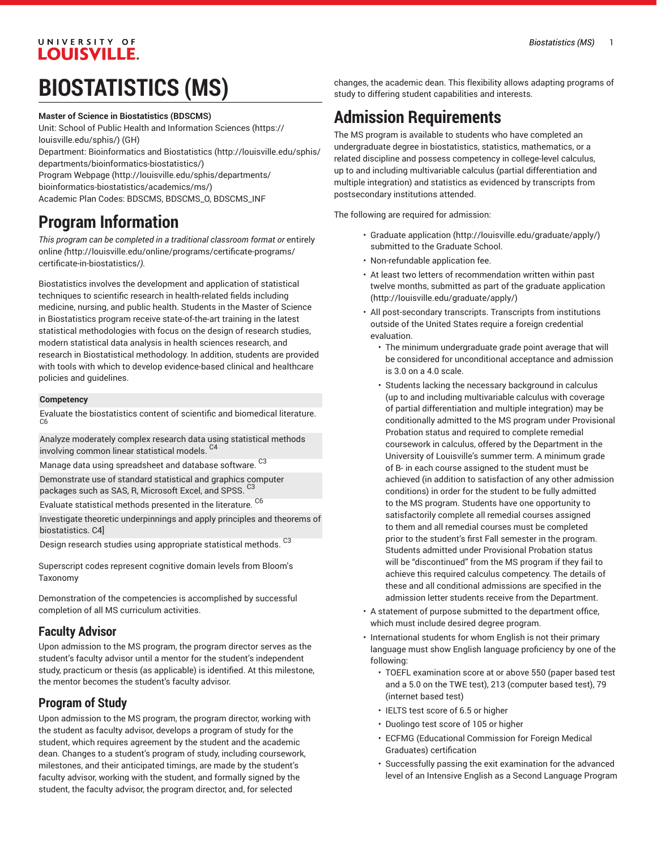## UNIVERSITY OF **LOUISVILLE.**

# **BIOSTATISTICS (MS)**

### **Master of Science in Biostatistics (BDSCMS)**

Unit: [School of Public Health and Information Sciences](https://louisville.edu/sphis/) ([https://](https://louisville.edu/sphis/) [louisville.edu/sphis/](https://louisville.edu/sphis/)) (GH)

Department: [Bioinformatics and Biostatistics](http://louisville.edu/sphis/departments/bioinformatics-biostatistics/) ([http://louisville.edu/sphis/](http://louisville.edu/sphis/departments/bioinformatics-biostatistics/) [departments/bioinformatics-biostatistics/\)](http://louisville.edu/sphis/departments/bioinformatics-biostatistics/)

Program [Webpage](http://louisville.edu/sphis/departments/bioinformatics-biostatistics/academics/ms/) [\(http://louisville.edu/sphis/departments/](http://louisville.edu/sphis/departments/bioinformatics-biostatistics/academics/ms/)

[bioinformatics-biostatistics/academics/ms/](http://louisville.edu/sphis/departments/bioinformatics-biostatistics/academics/ms/))

Academic Plan Codes: BDSCMS, BDSCMS\_0, BDSCMS\_INF

## **Program Information**

*This program can be completed in a traditional classroom format or* [entirely](http://louisville.edu/online/programs/certificate-programs/certificate-in-biostatistics/) [online](http://louisville.edu/online/programs/certificate-programs/certificate-in-biostatistics/) *(*[http://louisville.edu/online/programs/certificate-programs/](http://louisville.edu/online/programs/certificate-programs/certificate-in-biostatistics/) [certificate-in-biostatistics/](http://louisville.edu/online/programs/certificate-programs/certificate-in-biostatistics/)*).*

Biostatistics involves the development and application of statistical techniques to scientific research in health-related fields including medicine, nursing, and public health. Students in the Master of Science in Biostatistics program receive state-of-the-art training in the latest statistical methodologies with focus on the design of research studies, modern statistical data analysis in health sciences research, and research in Biostatistical methodology. In addition, students are provided with tools with which to develop evidence-based clinical and healthcare policies and guidelines.

#### **Competency**

Evaluate the biostatistics content of scientific and biomedical literature. C6

Analyze moderately complex research data using statistical methods involving common linear statistical models. C4

Manage data using spreadsheet and database software. <sup>C3</sup>

Demonstrate use of standard statistical and graphics computer packages such as SAS, R, Microsoft Excel, and SPSS.  $^{\rm C3}$ 

Evaluate statistical methods presented in the literature. <sup>C6</sup>

Investigate theoretic underpinnings and apply principles and theorems of biostatistics. C4]

Design research studies using appropriate statistical methods. C<sup>3</sup>

Superscript codes represent cognitive domain levels from Bloom's Taxonomy

Demonstration of the competencies is accomplished by successful completion of all MS curriculum activities.

## **Faculty Advisor**

Upon admission to the MS program, the program director serves as the student's faculty advisor until a mentor for the student's independent study, practicum or thesis (as applicable) is identified. At this milestone, the mentor becomes the student's faculty advisor.

## **Program of Study**

Upon admission to the MS program, the program director, working with the student as faculty advisor, develops a program of study for the student, which requires agreement by the student and the academic dean. Changes to a student's program of study, including coursework, milestones, and their anticipated timings, are made by the student's faculty advisor, working with the student, and formally signed by the student, the faculty advisor, the program director, and, for selected

changes, the academic dean. This flexibility allows adapting programs of study to differing student capabilities and interests.

## **Admission Requirements**

The MS program is available to students who have completed an undergraduate degree in biostatistics, statistics, mathematics, or a related discipline and possess competency in college-level calculus, up to and including multivariable calculus (partial differentiation and multiple integration) and statistics as evidenced by transcripts from postsecondary institutions attended.

The following are required for admission:

- [Graduate application](http://louisville.edu/graduate/apply/) [\(http://louisville.edu/graduate/apply/\)](http://louisville.edu/graduate/apply/) submitted to the Graduate School.
- Non-refundable application fee.
- At least two letters of recommendation written within past twelve months, submitted as part of the [graduate application](http://louisville.edu/graduate/apply/) [\(http://louisville.edu/graduate/apply/\)](http://louisville.edu/graduate/apply/)
- All post-secondary transcripts. Transcripts from institutions outside of the United States require a foreign credential evaluation.
	- The minimum undergraduate grade point average that will be considered for unconditional acceptance and admission is 3.0 on a 4.0 scale.
	- Students lacking the necessary background in calculus (up to and including multivariable calculus with coverage of partial differentiation and multiple integration) may be conditionally admitted to the MS program under Provisional Probation status and required to complete remedial coursework in calculus, offered by the Department in the University of Louisville's summer term. A minimum grade of B- in each course assigned to the student must be achieved (in addition to satisfaction of any other admission conditions) in order for the student to be fully admitted to the MS program. Students have one opportunity to satisfactorily complete all remedial courses assigned to them and all remedial courses must be completed prior to the student's first Fall semester in the program. Students admitted under Provisional Probation status will be "discontinued" from the MS program if they fail to achieve this required calculus competency. The details of these and all conditional admissions are specified in the admission letter students receive from the Department.
- A statement of purpose submitted to the department office, which must include desired degree program.
- International students for whom English is not their primary language must show English language proficiency by one of the following:
	- TOEFL examination score at or above 550 (paper based test and a 5.0 on the TWE test), 213 (computer based test), 79 (internet based test)
	- IELTS test score of 6.5 or higher
	- Duolingo test score of 105 or higher
	- ECFMG (Educational Commission for Foreign Medical Graduates) certification
	- Successfully passing the exit examination for the advanced level of an Intensive English as a Second Language Program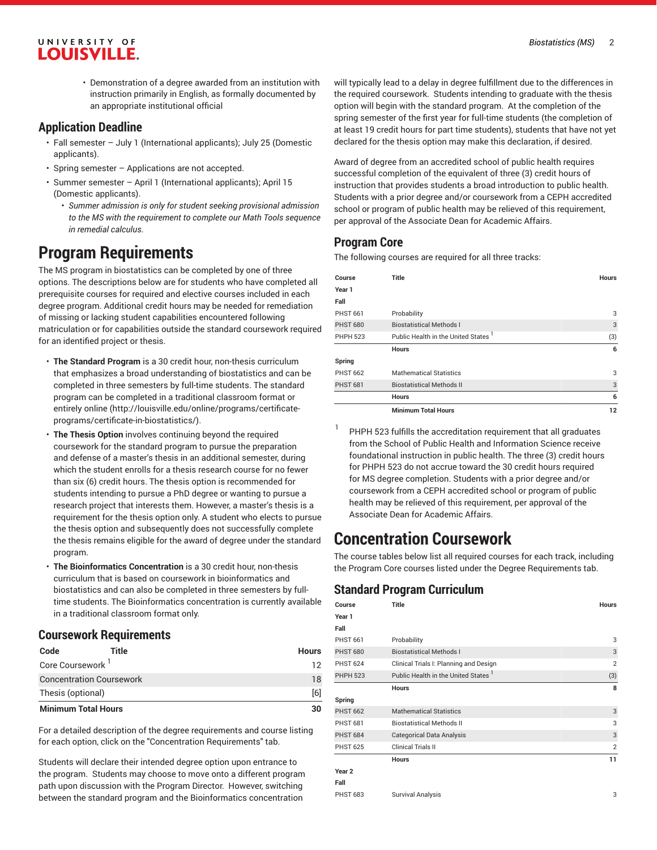#### *Biostatistics (MS)* 2

## UNIVERSITY OF **LOUISVILLE.**

• Demonstration of a degree awarded from an institution with instruction primarily in English, as formally documented by an appropriate institutional official

### **Application Deadline**

- Fall semester July 1 (International applicants); July 25 (Domestic applicants).
- Spring semester Applications are not accepted.
- Summer semester April 1 (International applicants); April 15 (Domestic applicants).
	- *Summer admission is only for student seeking provisional admission to the MS with the requirement to complete our Math Tools sequence in remedial calculus*.

## **Program Requirements**

The MS program in biostatistics can be completed by one of three options. The descriptions below are for students who have completed all prerequisite courses for required and elective courses included in each degree program. Additional credit hours may be needed for remediation of missing or lacking student capabilities encountered following matriculation or for capabilities outside the standard coursework required for an identified project or thesis.

- **The Standard Program** is a 30 credit hour, non-thesis curriculum that emphasizes a broad understanding of biostatistics and can be completed in three semesters by full-time students. The standard program can be completed in a traditional classroom format or [entirely](http://louisville.edu/online/programs/certificate-programs/certificate-in-biostatistics/) online ([http://louisville.edu/online/programs/certificate](http://louisville.edu/online/programs/certificate-programs/certificate-in-biostatistics/)[programs/certificate-in-biostatistics/\)](http://louisville.edu/online/programs/certificate-programs/certificate-in-biostatistics/).
- **The Thesis Option** involves continuing beyond the required coursework for the standard program to pursue the preparation and defense of a master's thesis in an additional semester, during which the student enrolls for a thesis research course for no fewer than six (6) credit hours. The thesis option is recommended for students intending to pursue a PhD degree or wanting to pursue a research project that interests them. However, a master's thesis is a requirement for the thesis option only. A student who elects to pursue the thesis option and subsequently does not successfully complete the thesis remains eligible for the award of degree under the standard program.
- **The Bioinformatics Concentration** is a 30 credit hour, non-thesis curriculum that is based on coursework in bioinformatics and biostatistics and can also be completed in three semesters by fulltime students. The Bioinformatics concentration is currently available in a traditional classroom format only.

## **Coursework Requirements**

| Code                            | Title | <b>Hours</b> |
|---------------------------------|-------|--------------|
| Core Coursework '               |       | 12           |
| <b>Concentration Coursework</b> |       | 18           |
| Thesis (optional)               |       | [6]          |
| <b>Minimum Total Hours</b>      |       | 30           |

For a detailed description of the degree requirements and course listing for each option, click on the "Concentration Requirements" tab.

Students will declare their intended degree option upon entrance to the program. Students may choose to move onto a different program path upon discussion with the Program Director. However, switching between the standard program and the Bioinformatics concentration

will typically lead to a delay in degree fulfillment due to the differences in the required coursework. Students intending to graduate with the thesis option will begin with the standard program. At the completion of the spring semester of the first year for full-time students (the completion of at least 19 credit hours for part time students), students that have not yet declared for the thesis option may make this declaration, if desired.

Award of degree from an accredited school of public health requires successful completion of the equivalent of three (3) credit hours of instruction that provides students a broad introduction to public health. Students with a prior degree and/or coursework from a CEPH accredited school or program of public health may be relieved of this requirement, per approval of the Associate Dean for Academic Affairs.

## **Program Core**

The following courses are required for all three tracks:

| Course          | <b>Title</b>                                    | <b>Hours</b> |
|-----------------|-------------------------------------------------|--------------|
| Year 1          |                                                 |              |
| Fall            |                                                 |              |
| <b>PHST 661</b> | Probability                                     | 3            |
| <b>PHST 680</b> | <b>Biostatistical Methods I</b>                 | 3            |
| <b>PHPH 523</b> | Public Health in the United States <sup>1</sup> | (3)          |
|                 | <b>Hours</b>                                    | 6            |
| Spring          |                                                 |              |
| <b>PHST 662</b> | <b>Mathematical Statistics</b>                  | 3            |
| <b>PHST 681</b> | <b>Biostatistical Methods II</b>                | 3            |
|                 | <b>Hours</b>                                    | 6            |
|                 | <b>Minimum Total Hours</b>                      | 12           |

1 PHPH 523 fulfills the accreditation requirement that all graduates from the School of Public Health and Information Science receive foundational instruction in public health. The three (3) credit hours for PHPH 523 do not accrue toward the 30 credit hours required for MS degree completion. Students with a prior degree and/or coursework from a CEPH accredited school or program of public health may be relieved of this requirement, per approval of the Associate Dean for Academic Affairs.

## **Concentration Coursework**

The course tables below list all required courses for each track, including the Program Core courses listed under the Degree Requirements tab.

## **Standard Program Curriculum**

| Course            | <b>Title</b>                                    | <b>Hours</b>   |
|-------------------|-------------------------------------------------|----------------|
| Year 1            |                                                 |                |
| Fall              |                                                 |                |
| <b>PHST 661</b>   | Probability                                     | 3              |
| <b>PHST 680</b>   | <b>Biostatistical Methods I</b>                 | 3              |
| <b>PHST 624</b>   | Clinical Trials I: Planning and Design          | $\overline{2}$ |
| <b>PHPH 523</b>   | Public Health in the United States <sup>1</sup> | (3)            |
|                   | Hours                                           | 8              |
| Spring            |                                                 |                |
| <b>PHST 662</b>   | <b>Mathematical Statistics</b>                  | 3              |
| <b>PHST 681</b>   | <b>Biostatistical Methods II</b>                | 3              |
| <b>PHST 684</b>   | <b>Categorical Data Analysis</b>                | 3              |
| <b>PHST 625</b>   | Clinical Trials II                              | $\overline{2}$ |
|                   | <b>Hours</b>                                    | 11             |
| Year <sub>2</sub> |                                                 |                |
| Fall              |                                                 |                |
| <b>PHST 683</b>   | <b>Survival Analysis</b>                        | 3              |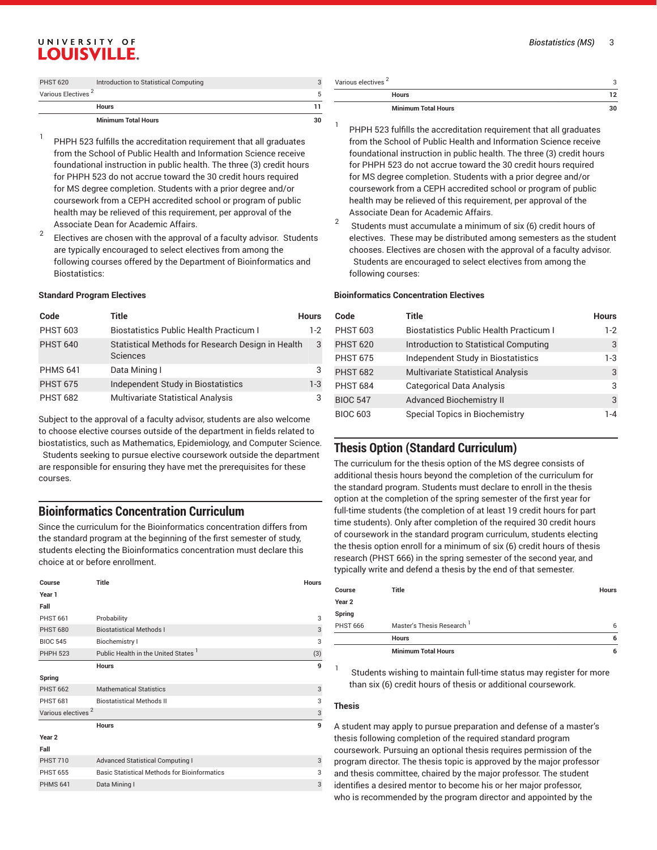#### *Biostatistics (MS)* 3

## UNIVERSITY OF **LOUISVILLE.**

| <b>PHST 620</b>                | Introduction to Statistical Computing |  |
|--------------------------------|---------------------------------------|--|
| Various Electives <sup>2</sup> |                                       |  |
|                                | <b>Hours</b>                          |  |
|                                | <b>Minimum Total Hours</b>            |  |

- 1 PHPH 523 fulfills the accreditation requirement that all graduates from the School of Public Health and Information Science receive foundational instruction in public health. The three (3) credit hours for PHPH 523 do not accrue toward the 30 credit hours required for MS degree completion. Students with a prior degree and/or coursework from a CEPH accredited school or program of public health may be relieved of this requirement, per approval of the Associate Dean for Academic Affairs.
- 2 Electives are chosen with the approval of a faculty advisor. Students are typically encouraged to select electives from among the following courses offered by the Department of Bioinformatics and Biostatistics:

#### **Standard Program Electives**

| Code            | Title                                                         | <b>Hours</b> |
|-----------------|---------------------------------------------------------------|--------------|
| <b>PHST 603</b> | <b>Biostatistics Public Health Practicum I</b>                | $1-2$        |
| <b>PHST 640</b> | Statistical Methods for Research Design in Health<br>Sciences | 3            |
| <b>PHMS 641</b> | Data Mining I                                                 | 3            |
| <b>PHST 675</b> | Independent Study in Biostatistics                            | $1-3$        |
| <b>PHST 682</b> | Multivariate Statistical Analysis                             |              |

Subject to the approval of a faculty advisor, students are also welcome to choose elective courses outside of the department in fields related to biostatistics, such as Mathematics, Epidemiology, and Computer Science. Students seeking to pursue elective coursework outside the department are responsible for ensuring they have met the prerequisites for these courses.

### **Bioinformatics Concentration Curriculum**

Since the curriculum for the Bioinformatics concentration differs from the standard program at the beginning of the first semester of study, students electing the Bioinformatics concentration must declare this choice at or before enrollment.

| Course                         | Title                                               | <b>Hours</b> |
|--------------------------------|-----------------------------------------------------|--------------|
|                                |                                                     |              |
| Year 1                         |                                                     |              |
| Fall                           |                                                     |              |
| <b>PHST 661</b>                | Probability                                         | 3            |
| <b>PHST 680</b>                | <b>Biostatistical Methods I</b>                     | 3            |
| <b>BIOC 545</b>                | <b>Biochemistry I</b>                               | 3            |
| <b>PHPH 523</b>                | Public Health in the United States <sup>1</sup>     | (3)          |
|                                | <b>Hours</b>                                        | 9            |
| Spring                         |                                                     |              |
| <b>PHST 662</b>                | <b>Mathematical Statistics</b>                      | 3            |
| <b>PHST 681</b>                | <b>Biostatistical Methods II</b>                    | 3            |
| Various electives <sup>2</sup> |                                                     | 3            |
|                                | <b>Hours</b>                                        | 9            |
| Year <sub>2</sub>              |                                                     |              |
| Fall                           |                                                     |              |
| <b>PHST 710</b>                | <b>Advanced Statistical Computing I</b>             | 3            |
| <b>PHST 655</b>                | <b>Basic Statistical Methods for Bioinformatics</b> | 3            |
| <b>PHMS 641</b>                | Data Mining I                                       | 3            |
|                                |                                                     |              |

| <b>Minimum Total Hours</b>     | 30 |
|--------------------------------|----|
| <b>Hours</b>                   |    |
| Various electives <sup>2</sup> |    |

- 1 PHPH 523 fulfills the accreditation requirement that all graduates from the School of Public Health and Information Science receive foundational instruction in public health. The three (3) credit hours for PHPH 523 do not accrue toward the 30 credit hours required for MS degree completion. Students with a prior degree and/or coursework from a CEPH accredited school or program of public health may be relieved of this requirement, per approval of the Associate Dean for Academic Affairs.
- 2 Students must accumulate a minimum of six (6) credit hours of electives. These may be distributed among semesters as the student chooses. Electives are chosen with the approval of a faculty advisor. Students are encouraged to select electives from among the following courses:

#### **Bioinformatics Concentration Electives**

| Code            | Title                                          | <b>Hours</b> |
|-----------------|------------------------------------------------|--------------|
| <b>PHST 603</b> | <b>Biostatistics Public Health Practicum I</b> | $1-2$        |
| <b>PHST 620</b> | Introduction to Statistical Computing          | 3            |
| <b>PHST 675</b> | Independent Study in Biostatistics             | $1-3$        |
| <b>PHST 682</b> | <b>Multivariate Statistical Analysis</b>       | 3            |
| <b>PHST 684</b> | <b>Categorical Data Analysis</b>               | 3            |
| <b>BIOC 547</b> | <b>Advanced Biochemistry II</b>                | 3            |
| <b>BIOC 603</b> | Special Topics in Biochemistry                 | 1-4          |

### **Thesis Option (Standard Curriculum)**

The curriculum for the thesis option of the MS degree consists of additional thesis hours beyond the completion of the curriculum for the standard program. Students must declare to enroll in the thesis option at the completion of the spring semester of the first year for full-time students (the completion of at least 19 credit hours for part time students). Only after completion of the required 30 credit hours of coursework in the standard program curriculum, students electing the thesis option enroll for a minimum of six (6) credit hours of thesis research (PHST 666) in the spring semester of the second year, and typically write and defend a thesis by the end of that semester.

|                 | <b>Minimum Total Hours</b>            | 6            |
|-----------------|---------------------------------------|--------------|
|                 | <b>Hours</b>                          | 6            |
| <b>PHST 666</b> | Master's Thesis Research <sup>1</sup> | 6            |
| Spring          |                                       |              |
| Year 2          |                                       |              |
| Course          | <b>Title</b>                          | <b>Hours</b> |

Students wishing to maintain full-time status may register for more than six (6) credit hours of thesis or additional coursework.

#### **Thesis**

1

A student may apply to pursue preparation and defense of a master's thesis following completion of the required standard program coursework. Pursuing an optional thesis requires permission of the program director. The thesis topic is approved by the major professor and thesis committee, chaired by the major professor. The student identifies a desired mentor to become his or her major professor, who is recommended by the program director and appointed by the